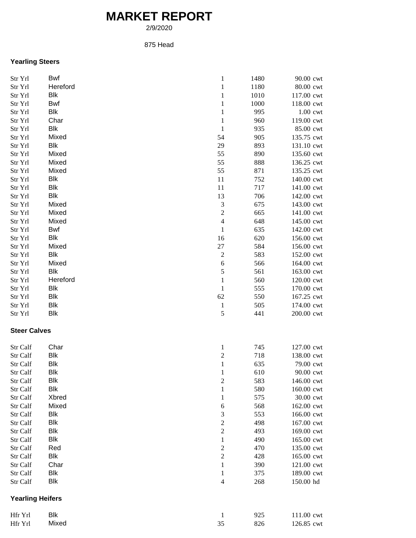## **MARKET REPORT**

2/9/2020

## 875 Head

## **Yearling Steers**

| Str Yrl                 | Bwf        | $\mathbf{1}$             | 1480 | 90.00 cwt  |
|-------------------------|------------|--------------------------|------|------------|
| Str Yrl                 | Hereford   | $\mathbf{1}$             | 1180 | 80.00 cwt  |
| Str Yrl                 | Blk        | $\mathbf{1}$             | 1010 | 117.00 cwt |
| Str Yrl                 | Bwf        | 1                        | 1000 | 118.00 cwt |
| Str Yrl                 | Blk        | $\mathbf{1}$             | 995  | 1.00 cwt   |
| Str Yrl                 | Char       | $\mathbf{1}$             | 960  | 119.00 cwt |
| Str Yrl                 | Blk        | $\mathbf{1}$             | 935  | 85.00 cwt  |
| Str Yrl                 | Mixed      | 54                       | 905  | 135.75 cwt |
| Str Yrl                 | Blk        | 29                       | 893  | 131.10 cwt |
| Str Yrl                 | Mixed      | 55                       | 890  | 135.60 cwt |
| Str Yrl                 | Mixed      | 55                       | 888  | 136.25 cwt |
| Str Yrl                 | Mixed      | 55                       | 871  | 135.25 cwt |
| Str Yrl                 | Blk        | 11                       | 752  | 140.00 cwt |
| Str Yrl                 | Blk        | 11                       | 717  | 141.00 cwt |
| Str Yrl                 | Blk        | 13                       | 706  | 142.00 cwt |
| Str Yrl                 | Mixed      | 3                        | 675  | 143.00 cwt |
| Str Yrl                 | Mixed      | $\overline{c}$           | 665  | 141.00 cwt |
| Str Yrl                 | Mixed      | $\overline{4}$           | 648  | 145.00 cwt |
| Str Yrl                 | <b>Bwf</b> | $\mathbf 1$              | 635  | 142.00 cwt |
| Str Yrl                 | Blk        | 16                       | 620  | 156.00 cwt |
| Str Yrl                 | Mixed      | 27                       | 584  | 156.00 cwt |
| Str Yrl                 | Blk        | $\sqrt{2}$               | 583  | 152.00 cwt |
| Str Yrl                 | Mixed      | 6                        | 566  | 164.00 cwt |
| Str Yrl                 | Blk        | 5                        | 561  | 163.00 cwt |
| Str Yrl                 | Hereford   | $\mathbf{1}$             | 560  | 120.00 cwt |
| Str Yrl                 | Blk        | $\mathbf{1}$             | 555  | 170.00 cwt |
| Str Yrl                 | Blk        | 62                       | 550  | 167.25 cwt |
|                         | Blk        |                          | 505  |            |
| Str Yrl                 | <b>Blk</b> | $\mathbf{1}$<br>5        | 441  | 174.00 cwt |
| Str Yrl                 |            |                          |      | 200.00 cwt |
| <b>Steer Calves</b>     |            |                          |      |            |
|                         |            |                          |      |            |
| Str Calf                | Char       | $\mathbf{1}$             | 745  | 127.00 cwt |
| Str Calf                | <b>Blk</b> | $\boldsymbol{2}$         | 718  | 138.00 cwt |
| Str Calf                | <b>Blk</b> | $\mathbf 1$              | 635  | 79.00 cwt  |
| Str Calf                | <b>Blk</b> | $\mathbf{1}$             | 610  | 90.00 cwt  |
| Str Calf                | Blk        | 2                        | 583  | 146.00 cwt |
| Str Calf                | Blk        | $\mathbf{1}$             | 580  | 160.00 cwt |
| Str Calf                | Xbred      | $\mathbf{1}$             | 575  | 30.00 cwt  |
| Str Calf                | Mixed      | 6                        | 568  | 162.00 cwt |
| Str Calf                | Blk        | 3                        | 553  | 166.00 cwt |
| Str Calf                | <b>Blk</b> | $\overline{\mathbf{c}}$  | 498  | 167.00 cwt |
| Str Calf                | Blk        | $\overline{c}$           | 493  | 169.00 cwt |
| Str Calf                | Blk        | $\mathbf{1}$             | 490  | 165.00 cwt |
| Str Calf                | Red        | $\boldsymbol{2}$         | 470  | 135.00 cwt |
| Str Calf                | Blk        | $\sqrt{2}$               | 428  | 165.00 cwt |
| Str Calf                | Char       | $\mathbf{1}$             | 390  | 121.00 cwt |
| Str Calf                | Blk        | $\mathbf{1}$             | 375  | 189.00 cwt |
| Str Calf                | <b>Blk</b> | $\overline{\mathcal{L}}$ | 268  | 150.00 hd  |
|                         |            |                          |      |            |
| <b>Yearling Heifers</b> |            |                          |      |            |
| Hfr Yrl                 | Blk        | 1                        | 925  | 111.00 cwt |
| Hfr Yrl                 | Mixed      | 35                       | 826  | 126.85 cwt |
|                         |            |                          |      |            |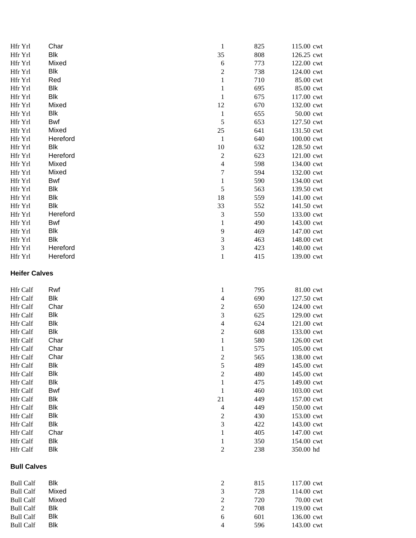| Hfr Yrl                              | Char              | $\,1$                   | 825        | 115.00 cwt               |
|--------------------------------------|-------------------|-------------------------|------------|--------------------------|
| Hfr Yrl                              | <b>Blk</b>        | 35                      | 808        | 126.25 cwt               |
| Hfr Yrl                              | Mixed             | 6                       | 773        | 122.00 cwt               |
| Hfr Yrl                              | <b>Blk</b>        | $\overline{c}$          | 738        | 124.00 cwt               |
| Hfr Yrl                              | Red               | $\mathbf 1$             | 710        | 85.00 cwt                |
| Hfr Yrl                              | <b>Blk</b>        | $\mathbf{1}$            | 695        | 85.00 cwt                |
| Hfr Yrl                              | <b>Blk</b>        | $\mathbf 1$             | 675        | 117.00 cwt               |
| Hfr Yrl                              | Mixed             | 12                      | 670        | 132.00 cwt               |
| Hfr Yrl                              | <b>Blk</b>        | $\mathbf{1}$            | 655        | 50.00 cwt                |
| Hfr Yrl                              | Bwf               | 5                       | 653        | 127.50 cwt               |
| Hfr Yrl                              | Mixed             | 25                      | 641        | 131.50 cwt               |
| Hfr Yrl                              | Hereford          | $\mathbf{1}$            | 640        | 100.00 cwt               |
| Hfr Yrl                              | <b>Blk</b>        | 10                      | 632        | 128.50 cwt               |
| Hfr Yrl                              | Hereford          | $\overline{\mathbf{c}}$ | 623        | 121.00 cwt               |
| Hfr Yrl                              | Mixed             | 4                       | 598        | 134.00 cwt               |
| Hfr Yrl                              | Mixed             | $\overline{7}$          | 594        | 132.00 cwt               |
| Hfr Yrl                              | Bwf               | $\mathbf{1}$            | 590        | 134.00 cwt               |
| Hfr Yrl                              | <b>Blk</b>        | 5                       | 563        | 139.50 cwt               |
|                                      | <b>Blk</b>        |                         |            |                          |
| Hfr Yrl                              | <b>Blk</b>        | 18                      | 559        | 141.00 cwt               |
| Hfr Yrl                              |                   | 33                      | 552        | 141.50 cwt               |
| Hfr Yrl                              | Hereford          | 3                       | 550        | 133.00 cwt               |
| Hfr Yrl                              | Bwf               | $\mathbf{1}$            | 490        | 143.00 cwt               |
| Hfr Yrl                              | <b>Blk</b>        | 9                       | 469        | 147.00 cwt               |
| Hfr Yrl                              | <b>Blk</b>        | 3                       | 463        | 148.00 cwt               |
| Hfr Yrl                              | Hereford          | 3                       | 423        | 140.00 cwt               |
| Hfr Yrl                              | Hereford          | $\mathbf{1}$            | 415        | 139.00 cwt               |
| <b>Heifer Calves</b>                 |                   |                         |            |                          |
| Hfr Calf                             | Rwf               | $\mathbf{1}$            | 795        | 81.00 cwt                |
| Hfr Calf                             | Blk               | 4                       | 690        | 127.50 cwt               |
|                                      |                   |                         |            |                          |
|                                      |                   |                         |            |                          |
| Hfr Calf                             | Char              | $\overline{c}$          | 650        | 124.00 cwt               |
| Hfr Calf                             | <b>Blk</b>        | 3                       | 625        | 129.00 cwt               |
| Hfr Calf                             | Blk               | 4                       | 624        | 121.00 cwt               |
| Hfr Calf                             | Blk               | $\overline{c}$          | 608        | 133.00 cwt               |
| Hfr Calf                             | Char              | $\,1$                   | 580        | 126.00 cwt               |
| Hfr Calf                             | Char              | $\mathbf{1}$            | 575        | 105.00 cwt               |
| Hfr Calf                             | Char              | $\overline{\mathbf{c}}$ | 565        | 138.00 cwt               |
| Hfr Calf                             | <b>Blk</b>        | 5                       | 489        | 145.00 cwt               |
| Hfr Calf                             | Blk               | $\overline{\mathbf{c}}$ | 480        | 145.00 cwt               |
| Hfr Calf                             | <b>Blk</b>        | $\mathbf{1}$            | 475        | 149.00 cwt               |
| Hfr Calf                             | Bwf               | $\mathbf{1}$            | 460        | 103.00 cwt               |
| Hfr Calf                             | <b>Blk</b>        | 21                      | 449        | 157.00 cwt               |
| Hfr Calf                             | <b>Blk</b>        | 4                       | 449        | 150.00 cwt               |
| Hfr Calf                             | <b>Blk</b>        | $\overline{\mathbf{c}}$ | 430        | 153.00 cwt               |
| <b>Hfr Calf</b>                      | Blk               | 3                       | 422        | 143.00 cwt               |
| Hfr Calf                             | Char              | $\mathbf{1}$            | 405        | 147.00 cwt               |
| Hfr Calf                             | <b>Blk</b>        | $\mathbf{1}$            | 350        | 154.00 cwt               |
| Hfr Calf                             | <b>Blk</b>        | $\overline{c}$          | 238        | 350.00 hd                |
| <b>Bull Calves</b>                   |                   |                         |            |                          |
|                                      |                   |                         |            |                          |
| <b>Bull Calf</b>                     | <b>Blk</b>        | $\overline{\mathbf{c}}$ | 815        | 117.00 cwt               |
| <b>Bull Calf</b>                     | Mixed             | 3                       | 728        | 114.00 cwt               |
| <b>Bull Calf</b>                     | Mixed             | $\overline{\mathbf{c}}$ | 720        | 70.00 cwt                |
| <b>Bull Calf</b>                     | <b>Blk</b>        | $\overline{c}$          | 708        | 119.00 cwt               |
| <b>Bull Calf</b><br><b>Bull Calf</b> | <b>Blk</b><br>Blk | $\sqrt{6}$<br>4         | 601<br>596 | 136.00 cwt<br>143.00 cwt |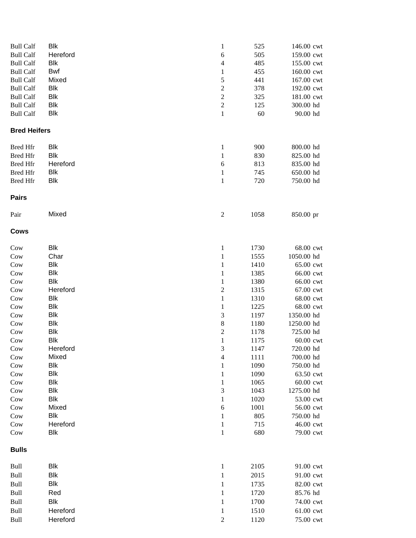| <b>Bull Calf</b>    | <b>Blk</b> | 1                       | 525  | 146.00 cwt |
|---------------------|------------|-------------------------|------|------------|
| <b>Bull Calf</b>    | Hereford   | 6                       | 505  | 159.00 cwt |
| <b>Bull Calf</b>    | <b>Blk</b> | $\overline{4}$          | 485  | 155.00 cwt |
| <b>Bull Calf</b>    | <b>Bwf</b> | $\mathbf{1}$            | 455  | 160.00 cwt |
| <b>Bull Calf</b>    | Mixed      | 5                       | 441  | 167.00 cwt |
| <b>Bull Calf</b>    | Blk        | $\overline{\mathbf{c}}$ | 378  | 192.00 cwt |
| <b>Bull Calf</b>    | <b>Blk</b> | $\sqrt{2}$              | 325  | 181.00 cwt |
| <b>Bull Calf</b>    | <b>Blk</b> | $\sqrt{2}$              | 125  | 300.00 hd  |
| <b>Bull Calf</b>    | <b>Blk</b> | $\,1\,$                 | 60   | 90.00 hd   |
|                     |            |                         |      |            |
|                     |            |                         |      |            |
| <b>Bred Heifers</b> |            |                         |      |            |
| <b>Bred Hfr</b>     | <b>Blk</b> | $\mathbf{1}$            | 900  | 800.00 hd  |
| <b>Bred Hfr</b>     | <b>Blk</b> | $\mathbf{1}$            | 830  | 825.00 hd  |
| <b>Bred Hfr</b>     | Hereford   | $\sqrt{6}$              | 813  | 835.00 hd  |
| <b>Bred Hfr</b>     | <b>Blk</b> |                         | 745  | 650.00 hd  |
|                     | <b>Blk</b> | $\mathbf{1}$            |      |            |
| <b>Bred Hfr</b>     |            | $\mathbf{1}$            | 720  | 750.00 hd  |
| <b>Pairs</b>        |            |                         |      |            |
| Pair                | Mixed      | $\boldsymbol{2}$        | 1058 | 850.00 pr  |
| <b>Cows</b>         |            |                         |      |            |
|                     |            |                         |      |            |
| Cow                 | <b>Blk</b> | $\mathbf{1}$            | 1730 | 68.00 cwt  |
| Cow                 | Char       | $\,1\,$                 | 1555 | 1050.00 hd |
| Cow                 | <b>Blk</b> | $\mathbf{1}$            | 1410 | 65.00 cwt  |
| Cow                 | <b>Blk</b> | $\,1$                   | 1385 | 66.00 cwt  |
| Cow                 | <b>Blk</b> | $\,1$                   | 1380 | 66.00 cwt  |
| Cow                 | Hereford   | $\overline{c}$          | 1315 | 67.00 cwt  |
| Cow                 | Blk        | $\mathbf{1}$            | 1310 | 68.00 cwt  |
| Cow                 | <b>Blk</b> | $\mathbf{1}$            | 1225 | 68.00 cwt  |
| Cow                 | <b>Blk</b> | 3                       | 1197 | 1350.00 hd |
| Cow                 | <b>Blk</b> | $\,8\,$                 | 1180 | 1250.00 hd |
| Cow                 | <b>Blk</b> | $\overline{c}$          | 1178 | 725.00 hd  |
| Cow                 | <b>Blk</b> | $\,1$                   | 1175 | 60.00 cwt  |
| Cow                 | Hereford   | $\mathfrak{Z}$          | 1147 | 720.00 hd  |
|                     | Mixed      | $\overline{4}$          | 1111 | 700.00 hd  |
| Cow                 |            |                         |      |            |
| Cow                 | <b>Blk</b> | $\mathbf{1}$            | 1090 | 750.00 hd  |
| Cow                 | <b>Blk</b> | $\mathbf{1}$            | 1090 | 63.50 cwt  |
| Cow                 | <b>Blk</b> | $\mathbf{1}$            | 1065 | 60.00 cwt  |
| Cow                 | <b>Blk</b> | $\mathfrak 3$           | 1043 | 1275.00 hd |
| Cow                 | <b>Blk</b> | $\,1$                   | 1020 | 53.00 cwt  |
| Cow                 | Mixed      | $\sqrt{6}$              | 1001 | 56.00 cwt  |
| Cow                 | <b>Blk</b> | 1                       | 805  | 750.00 hd  |
| Cow                 | Hereford   | $\mathbf{1}$            | 715  | 46.00 cwt  |
| Cow                 | <b>Blk</b> | $\mathbf{1}$            | 680  | 79.00 cwt  |
| <b>Bulls</b>        |            |                         |      |            |
|                     |            |                         |      |            |
| <b>Bull</b>         | <b>Blk</b> | $\mathbf{1}$            | 2105 | 91.00 cwt  |
| Bull                | <b>Blk</b> | $\mathbf{1}$            | 2015 | 91.00 cwt  |
| Bull                | <b>Blk</b> | $\mathbf{1}$            | 1735 | 82.00 cwt  |
| Bull                | Red        | $\mathbf{1}$            | 1720 | 85.76 hd   |
| Bull                | <b>Blk</b> | $\mathbf{1}$            | 1700 | 74.00 cwt  |
| Bull                | Hereford   | 1                       | 1510 | 61.00 cwt  |
| Bull                | Hereford   | $\overline{2}$          | 1120 | 75.00 cwt  |
|                     |            |                         |      |            |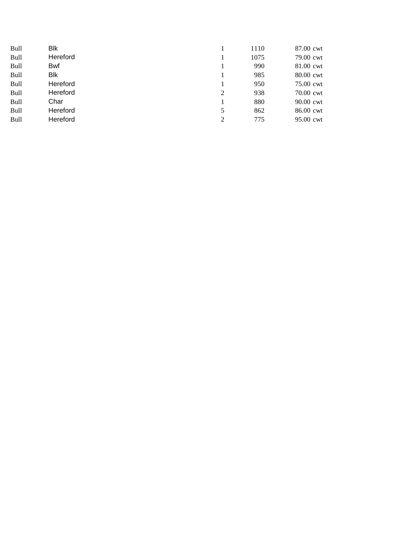| <b>Bull</b> | Blk        |                | 1110 | 87.00 cwt |
|-------------|------------|----------------|------|-----------|
| <b>Bull</b> | Hereford   |                | 1075 | 79.00 cwt |
| Bull        | <b>Bwf</b> |                | 990  | 81.00 cwt |
| <b>Bull</b> | Blk        |                | 985  | 80.00 cwt |
| <b>Bull</b> | Hereford   |                | 950  | 75.00 cwt |
| <b>Bull</b> | Hereford   | 2              | 938  | 70.00 cwt |
| <b>Bull</b> | Char       |                | 880  | 90.00 cwt |
| <b>Bull</b> | Hereford   | 5              | 862  | 86.00 cwt |
| <b>Bull</b> | Hereford   | $\overline{c}$ | 775  | 95.00 cwt |